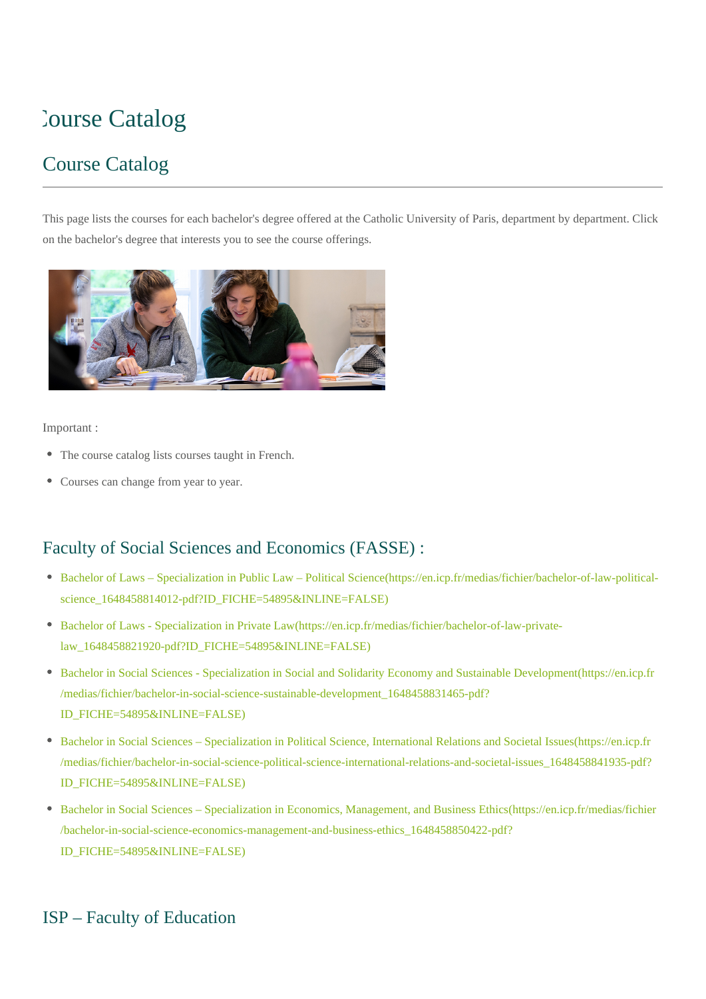# **Catalog**

# Course Catalog

This page lists the courses for each bachelor's degree offered at the Catholic University of Paris, department by department. Click on the bachelor's degree that interests you to see the course offerings.



#### Important :

- The course catalog lists courses taught in French.
- Courses can change from year to year.

#### Faculty of Social Sciences and Economics (FASSE) :

- [Bachelor of Laws Specialization in Public Law Political Science\(https://en.icp.fr/medias/fichier/bachelor-of-law-political](https://en.icp.fr/medias/fichier/bachelor-of-law-political-science_1648458814012-pdf?ID_FICHE=54895&INLINE=FALSE)[science\\_1648458814012-pdf?ID\\_FICHE=54895&INLINE=FALSE\)](https://en.icp.fr/medias/fichier/bachelor-of-law-political-science_1648458814012-pdf?ID_FICHE=54895&INLINE=FALSE)
- [Bachelor of Laws Specialization in Private Law\(https://en.icp.fr/medias/fichier/bachelor-of-law-private](https://en.icp.fr/medias/fichier/bachelor-of-law-private-law_1648458821920-pdf?ID_FICHE=54895&INLINE=FALSE)[law\\_1648458821920-pdf?ID\\_FICHE=54895&INLINE=FALSE\)](https://en.icp.fr/medias/fichier/bachelor-of-law-private-law_1648458821920-pdf?ID_FICHE=54895&INLINE=FALSE)
- [Bachelor in Social Sciences Specialization in Social and Solidarity Economy and Sustainable Development\(https://en.icp.fr](https://en.icp.fr/medias/fichier/bachelor-in-social-science-sustainable-development_1648458831465-pdf?ID_FICHE=54895&INLINE=FALSE) [/medias/fichier/bachelor-in-social-science-sustainable-development\\_1648458831465-pdf?](https://en.icp.fr/medias/fichier/bachelor-in-social-science-sustainable-development_1648458831465-pdf?ID_FICHE=54895&INLINE=FALSE) [ID\\_FICHE=54895&INLINE=FALSE\)](https://en.icp.fr/medias/fichier/bachelor-in-social-science-sustainable-development_1648458831465-pdf?ID_FICHE=54895&INLINE=FALSE)
- [Bachelor in Social Sciences Specialization in Political Science, International Relations and Societal Issues\(https://en.icp.fr](https://en.icp.fr/medias/fichier/bachelor-in-social-science-political-science-international-relations-and-societal-issues_1648458841935-pdf?ID_FICHE=54895&INLINE=FALSE) [/medias/fichier/bachelor-in-social-science-political-science-international-relations-and-societal-issues\\_1648458841935-pdf?](https://en.icp.fr/medias/fichier/bachelor-in-social-science-political-science-international-relations-and-societal-issues_1648458841935-pdf?ID_FICHE=54895&INLINE=FALSE) [ID\\_FICHE=54895&INLINE=FALSE\)](https://en.icp.fr/medias/fichier/bachelor-in-social-science-political-science-international-relations-and-societal-issues_1648458841935-pdf?ID_FICHE=54895&INLINE=FALSE)
- [Bachelor in Social Sciences Specialization in Economics, Management, and Business Ethics\(https://en.icp.fr/medias/fichier](https://en.icp.fr/medias/fichier/bachelor-in-social-science-economics-management-and-business-ethics_1648458850422-pdf?ID_FICHE=54895&INLINE=FALSE) [/bachelor-in-social-science-economics-management-and-business-ethics\\_1648458850422-pdf?](https://en.icp.fr/medias/fichier/bachelor-in-social-science-economics-management-and-business-ethics_1648458850422-pdf?ID_FICHE=54895&INLINE=FALSE) [ID\\_FICHE=54895&INLINE=FALSE\)](https://en.icp.fr/medias/fichier/bachelor-in-social-science-economics-management-and-business-ethics_1648458850422-pdf?ID_FICHE=54895&INLINE=FALSE)

#### ISP – Faculty of Education